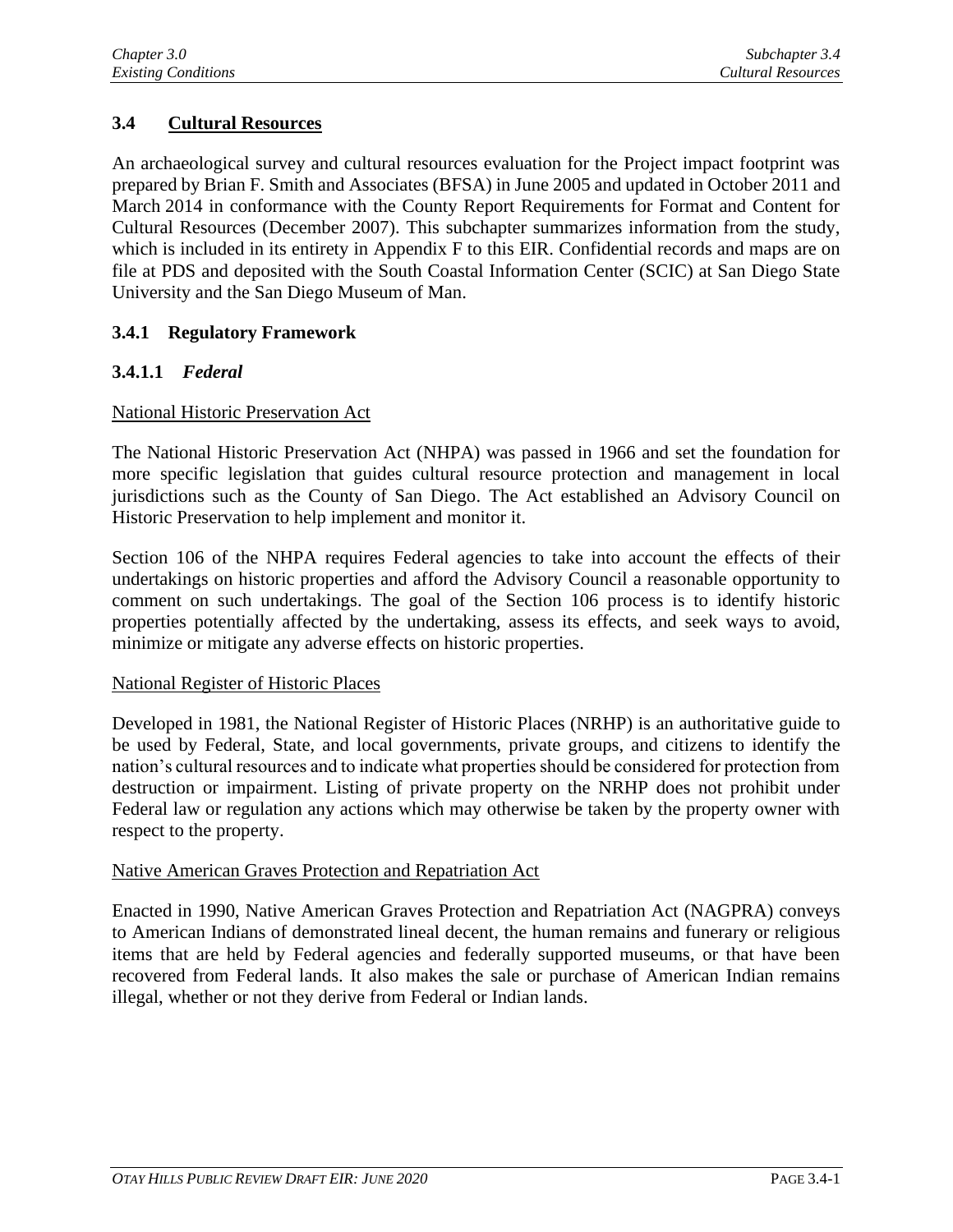# **3.4 Cultural Resources**

An archaeological survey and cultural resources evaluation for the Project impact footprint was prepared by Brian F. Smith and Associates (BFSA) in June 2005 and updated in October 2011 and March 2014 in conformance with the County Report Requirements for Format and Content for Cultural Resources (December 2007). This subchapter summarizes information from the study, which is included in its entirety in Appendix F to this EIR. Confidential records and maps are on file at PDS and deposited with the South Coastal Information Center (SCIC) at San Diego State University and the San Diego Museum of Man.

## **3.4.1 Regulatory Framework**

## **3.4.1.1** *Federal*

### National Historic Preservation Act

The National Historic Preservation Act (NHPA) was passed in 1966 and set the foundation for more specific legislation that guides cultural resource protection and management in local jurisdictions such as the County of San Diego. The Act established an Advisory Council on Historic Preservation to help implement and monitor it.

Section 106 of the NHPA requires Federal agencies to take into account the effects of their undertakings on historic properties and afford the Advisory Council a reasonable opportunity to comment on such undertakings. The goal of the Section 106 process is to identify historic properties potentially affected by the undertaking, assess its effects, and seek ways to avoid, minimize or mitigate any adverse effects on historic properties.

#### National Register of Historic Places

Developed in 1981, the National Register of Historic Places (NRHP) is an authoritative guide to be used by Federal, State, and local governments, private groups, and citizens to identify the nation's cultural resources and to indicate what properties should be considered for protection from destruction or impairment. Listing of private property on the NRHP does not prohibit under Federal law or regulation any actions which may otherwise be taken by the property owner with respect to the property.

#### Native American Graves Protection and Repatriation Act

Enacted in 1990, Native American Graves Protection and Repatriation Act (NAGPRA) conveys to American Indians of demonstrated lineal decent, the human remains and funerary or religious items that are held by Federal agencies and federally supported museums, or that have been recovered from Federal lands. It also makes the sale or purchase of American Indian remains illegal, whether or not they derive from Federal or Indian lands.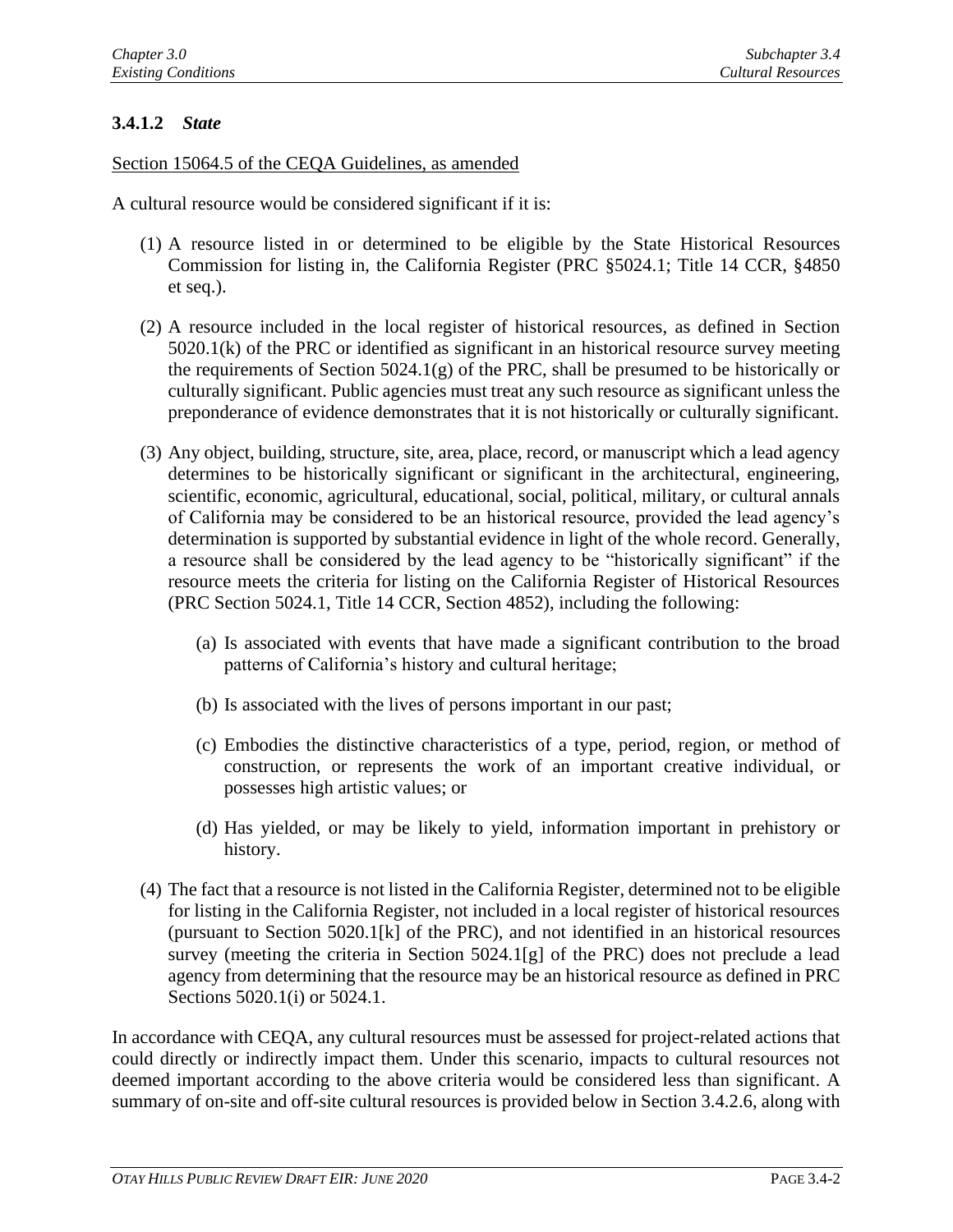## **3.4.1.2** *State*

Section 15064.5 of the CEQA Guidelines, as amended

A cultural resource would be considered significant if it is:

- (1) A resource listed in or determined to be eligible by the State Historical Resources Commission for listing in, the California Register (PRC §5024.1; Title 14 CCR, §4850 et seq.).
- (2) A resource included in the local register of historical resources, as defined in Section 5020.1(k) of the PRC or identified as significant in an historical resource survey meeting the requirements of Section  $5024.1(g)$  of the PRC, shall be presumed to be historically or culturally significant. Public agencies must treat any such resource as significant unless the preponderance of evidence demonstrates that it is not historically or culturally significant.
- (3) Any object, building, structure, site, area, place, record, or manuscript which a lead agency determines to be historically significant or significant in the architectural, engineering, scientific, economic, agricultural, educational, social, political, military, or cultural annals of California may be considered to be an historical resource, provided the lead agency's determination is supported by substantial evidence in light of the whole record. Generally, a resource shall be considered by the lead agency to be "historically significant" if the resource meets the criteria for listing on the California Register of Historical Resources (PRC Section 5024.1, Title 14 CCR, Section 4852), including the following:
	- (a) Is associated with events that have made a significant contribution to the broad patterns of California's history and cultural heritage;
	- (b) Is associated with the lives of persons important in our past;
	- (c) Embodies the distinctive characteristics of a type, period, region, or method of construction, or represents the work of an important creative individual, or possesses high artistic values; or
	- (d) Has yielded, or may be likely to yield, information important in prehistory or history.
- (4) The fact that a resource is not listed in the California Register, determined not to be eligible for listing in the California Register, not included in a local register of historical resources (pursuant to Section 5020.1[k] of the PRC), and not identified in an historical resources survey (meeting the criteria in Section 5024.1[g] of the PRC) does not preclude a lead agency from determining that the resource may be an historical resource as defined in PRC Sections 5020.1(i) or 5024.1.

In accordance with CEQA, any cultural resources must be assessed for project-related actions that could directly or indirectly impact them. Under this scenario, impacts to cultural resources not deemed important according to the above criteria would be considered less than significant. A summary of on-site and off-site cultural resources is provided below in Section 3.4.2.6, along with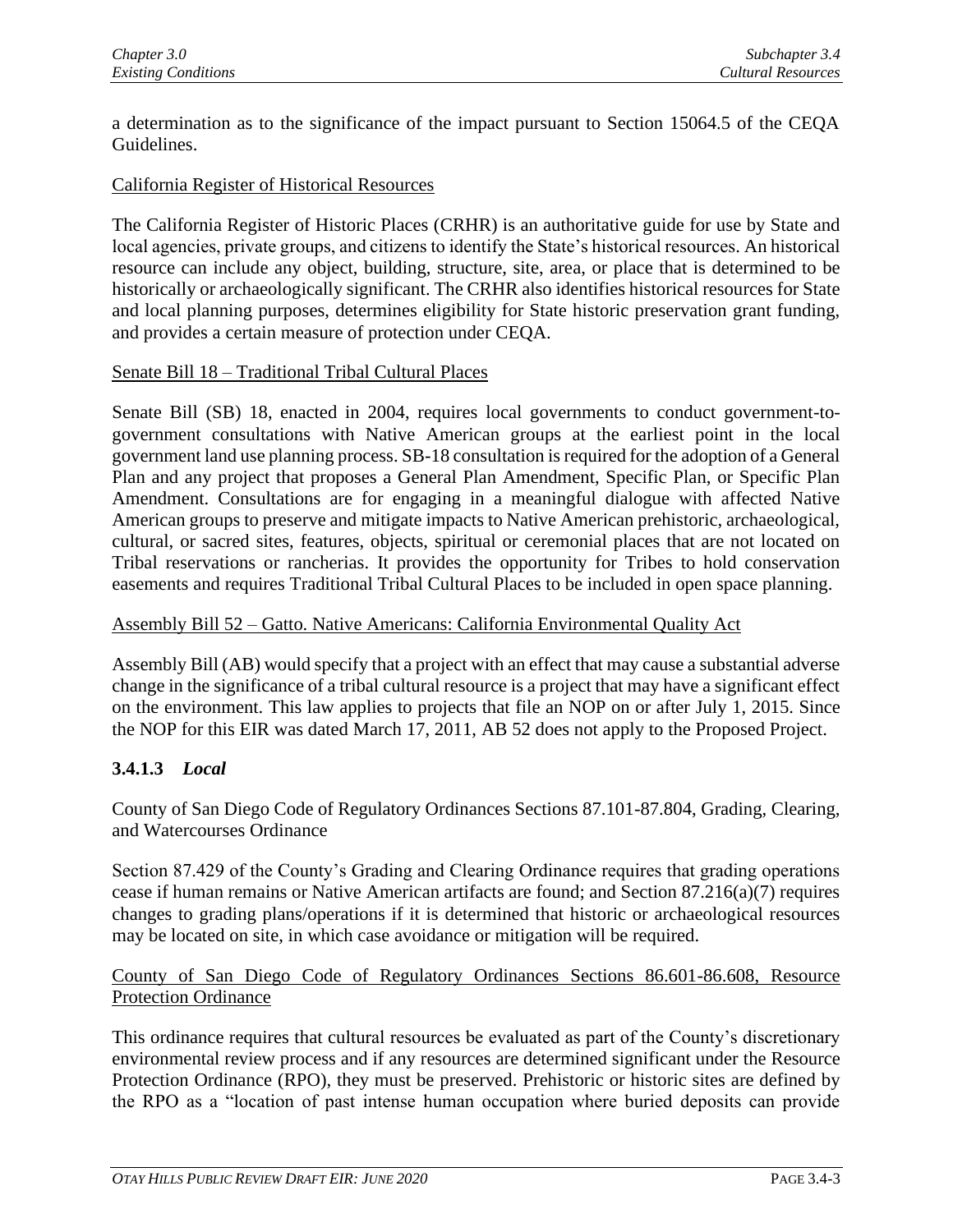a determination as to the significance of the impact pursuant to Section 15064.5 of the CEQA Guidelines.

### California Register of Historical Resources

The California Register of Historic Places (CRHR) is an authoritative guide for use by State and local agencies, private groups, and citizens to identify the State's historical resources. An historical resource can include any object, building, structure, site, area, or place that is determined to be historically or archaeologically significant. The CRHR also identifies historical resources for State and local planning purposes, determines eligibility for State historic preservation grant funding, and provides a certain measure of protection under CEQA.

#### Senate Bill 18 – Traditional Tribal Cultural Places

Senate Bill (SB) 18, enacted in 2004, requires local governments to conduct government-togovernment consultations with Native American groups at the earliest point in the local government land use planning process. SB-18 consultation is required for the adoption of a General Plan and any project that proposes a General Plan Amendment, Specific Plan, or Specific Plan Amendment. Consultations are for engaging in a meaningful dialogue with affected Native American groups to preserve and mitigate impacts to Native American prehistoric, archaeological, cultural, or sacred sites, features, objects, spiritual or ceremonial places that are not located on Tribal reservations or rancherias. It provides the opportunity for Tribes to hold conservation easements and requires Traditional Tribal Cultural Places to be included in open space planning.

#### Assembly Bill 52 – Gatto. Native Americans: California Environmental Quality Act

Assembly Bill (AB) would specify that a project with an effect that may cause a substantial adverse change in the significance of a tribal cultural resource is a project that may have a significant effect on the environment. This law applies to projects that file an NOP on or after July 1, 2015. Since the NOP for this EIR was dated March 17, 2011, AB 52 does not apply to the Proposed Project.

#### **3.4.1.3** *Local*

County of San Diego Code of Regulatory Ordinances Sections 87.101-87.804, Grading, Clearing, and Watercourses Ordinance

Section 87.429 of the County's Grading and Clearing Ordinance requires that grading operations cease if human remains or Native American artifacts are found; and Section 87.216(a)(7) requires changes to grading plans/operations if it is determined that historic or archaeological resources may be located on site, in which case avoidance or mitigation will be required.

### County of San Diego Code of Regulatory Ordinances Sections 86.601-86.608, Resource Protection Ordinance

This ordinance requires that cultural resources be evaluated as part of the County's discretionary environmental review process and if any resources are determined significant under the Resource Protection Ordinance (RPO), they must be preserved. Prehistoric or historic sites are defined by the RPO as a "location of past intense human occupation where buried deposits can provide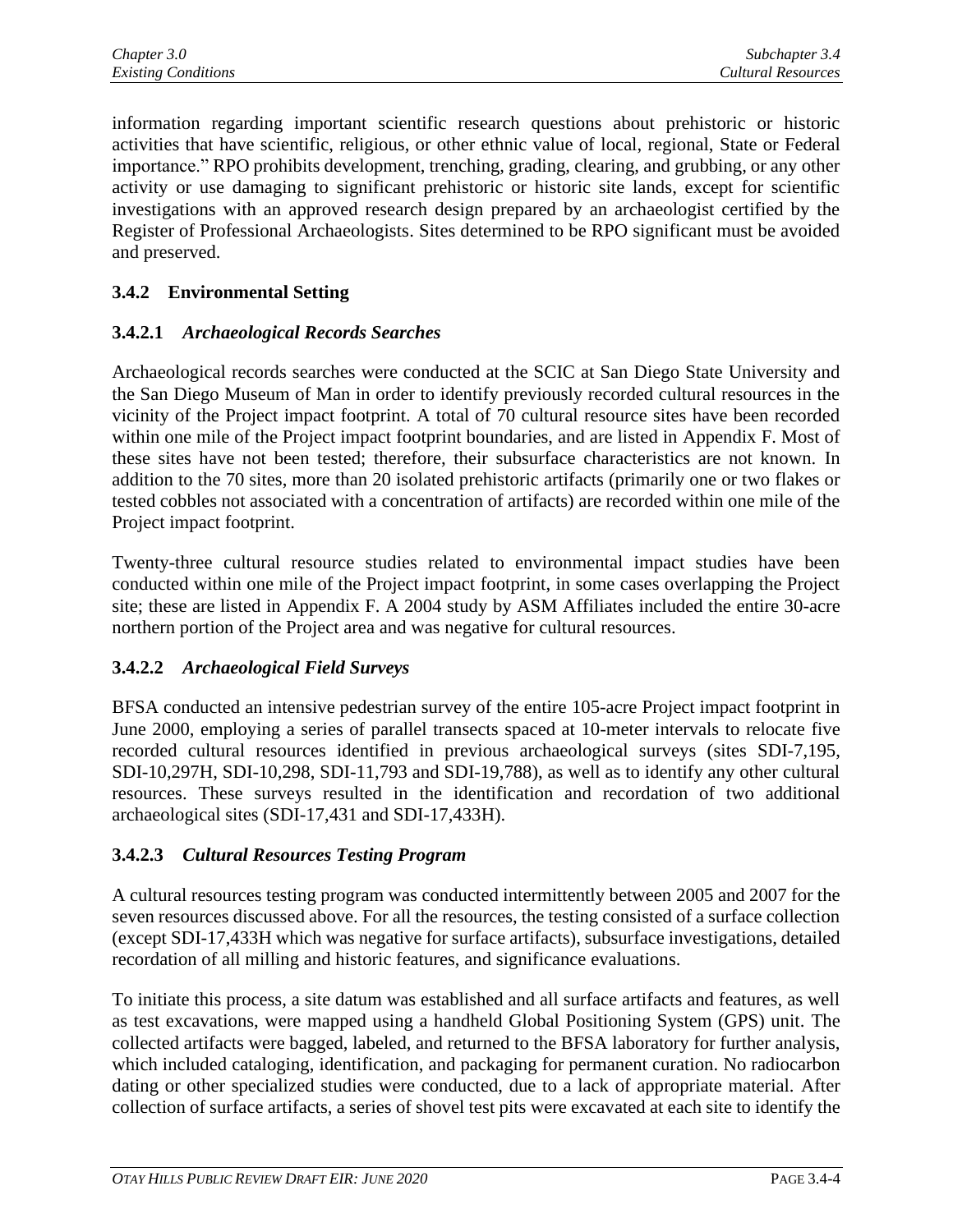information regarding important scientific research questions about prehistoric or historic activities that have scientific, religious, or other ethnic value of local, regional, State or Federal importance." RPO prohibits development, trenching, grading, clearing, and grubbing, or any other activity or use damaging to significant prehistoric or historic site lands, except for scientific investigations with an approved research design prepared by an archaeologist certified by the Register of Professional Archaeologists. Sites determined to be RPO significant must be avoided and preserved.

# **3.4.2 Environmental Setting**

### **3.4.2.1** *Archaeological Records Searches*

Archaeological records searches were conducted at the SCIC at San Diego State University and the San Diego Museum of Man in order to identify previously recorded cultural resources in the vicinity of the Project impact footprint. A total of 70 cultural resource sites have been recorded within one mile of the Project impact footprint boundaries, and are listed in Appendix F. Most of these sites have not been tested; therefore, their subsurface characteristics are not known. In addition to the 70 sites, more than 20 isolated prehistoric artifacts (primarily one or two flakes or tested cobbles not associated with a concentration of artifacts) are recorded within one mile of the Project impact footprint.

Twenty-three cultural resource studies related to environmental impact studies have been conducted within one mile of the Project impact footprint, in some cases overlapping the Project site; these are listed in Appendix F. A 2004 study by ASM Affiliates included the entire 30-acre northern portion of the Project area and was negative for cultural resources.

## **3.4.2.2** *Archaeological Field Surveys*

BFSA conducted an intensive pedestrian survey of the entire 105-acre Project impact footprint in June 2000, employing a series of parallel transects spaced at 10-meter intervals to relocate five recorded cultural resources identified in previous archaeological surveys (sites SDI-7,195, SDI-10,297H, SDI-10,298, SDI-11,793 and SDI-19,788), as well as to identify any other cultural resources. These surveys resulted in the identification and recordation of two additional archaeological sites (SDI-17,431 and SDI-17,433H).

## **3.4.2.3** *Cultural Resources Testing Program*

A cultural resources testing program was conducted intermittently between 2005 and 2007 for the seven resources discussed above. For all the resources, the testing consisted of a surface collection (except SDI-17,433H which was negative for surface artifacts), subsurface investigations, detailed recordation of all milling and historic features, and significance evaluations.

To initiate this process, a site datum was established and all surface artifacts and features, as well as test excavations, were mapped using a handheld Global Positioning System (GPS) unit. The collected artifacts were bagged, labeled, and returned to the BFSA laboratory for further analysis, which included cataloging, identification, and packaging for permanent curation. No radiocarbon dating or other specialized studies were conducted, due to a lack of appropriate material. After collection of surface artifacts, a series of shovel test pits were excavated at each site to identify the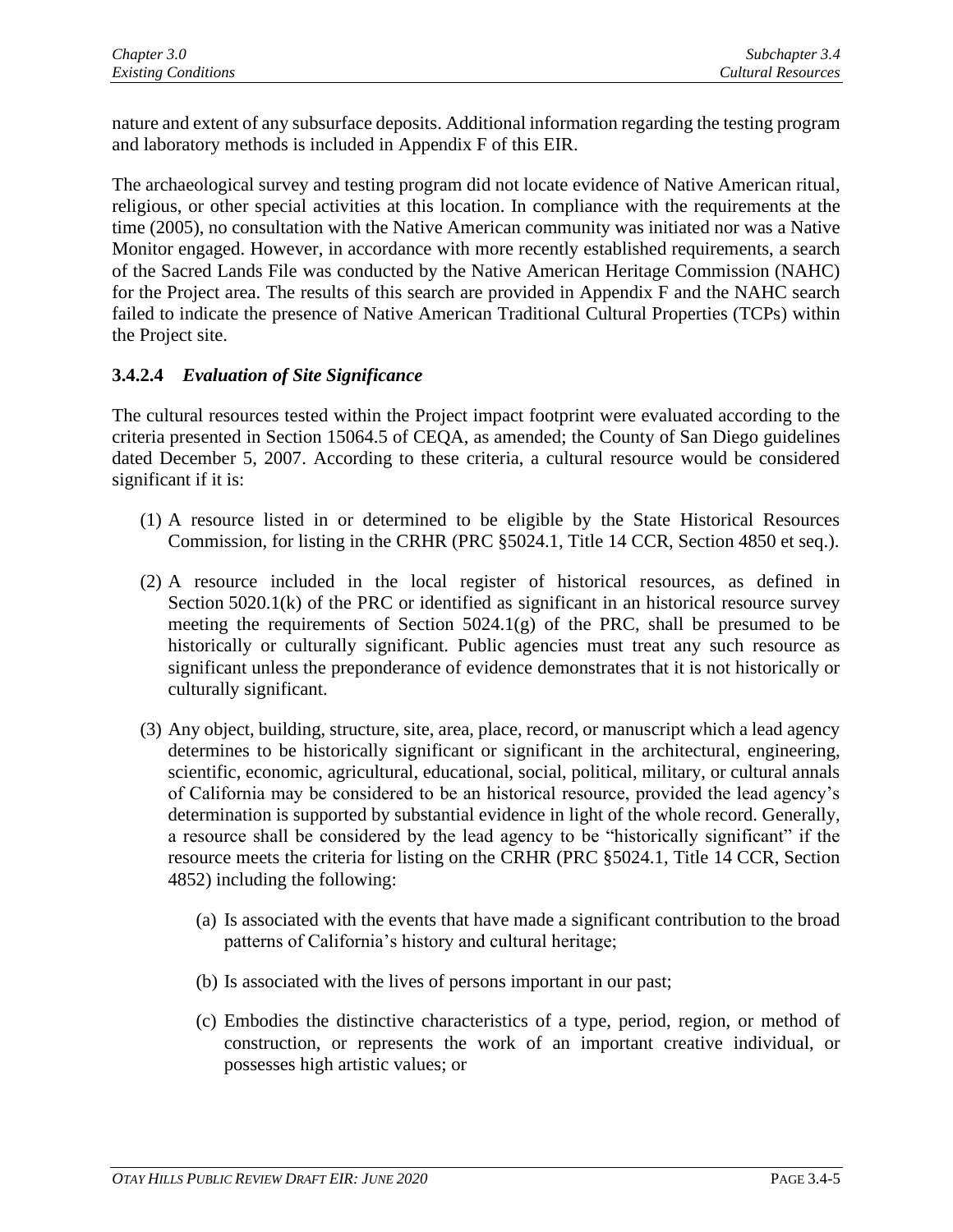nature and extent of any subsurface deposits. Additional information regarding the testing program and laboratory methods is included in Appendix F of this EIR.

The archaeological survey and testing program did not locate evidence of Native American ritual, religious, or other special activities at this location. In compliance with the requirements at the time (2005), no consultation with the Native American community was initiated nor was a Native Monitor engaged. However, in accordance with more recently established requirements, a search of the Sacred Lands File was conducted by the Native American Heritage Commission (NAHC) for the Project area. The results of this search are provided in Appendix F and the NAHC search failed to indicate the presence of Native American Traditional Cultural Properties (TCPs) within the Project site.

## **3.4.2.4** *Evaluation of Site Significance*

The cultural resources tested within the Project impact footprint were evaluated according to the criteria presented in Section 15064.5 of CEQA, as amended; the County of San Diego guidelines dated December 5, 2007. According to these criteria, a cultural resource would be considered significant if it is:

- (1) A resource listed in or determined to be eligible by the State Historical Resources Commission, for listing in the CRHR (PRC §5024.1, Title 14 CCR, Section 4850 et seq.).
- (2) A resource included in the local register of historical resources, as defined in Section 5020.1(k) of the PRC or identified as significant in an historical resource survey meeting the requirements of Section 5024.1(g) of the PRC, shall be presumed to be historically or culturally significant. Public agencies must treat any such resource as significant unless the preponderance of evidence demonstrates that it is not historically or culturally significant.
- (3) Any object, building, structure, site, area, place, record, or manuscript which a lead agency determines to be historically significant or significant in the architectural, engineering, scientific, economic, agricultural, educational, social, political, military, or cultural annals of California may be considered to be an historical resource, provided the lead agency's determination is supported by substantial evidence in light of the whole record. Generally, a resource shall be considered by the lead agency to be "historically significant" if the resource meets the criteria for listing on the CRHR (PRC §5024.1, Title 14 CCR, Section 4852) including the following:
	- (a) Is associated with the events that have made a significant contribution to the broad patterns of California's history and cultural heritage;
	- (b) Is associated with the lives of persons important in our past;
	- (c) Embodies the distinctive characteristics of a type, period, region, or method of construction, or represents the work of an important creative individual, or possesses high artistic values; or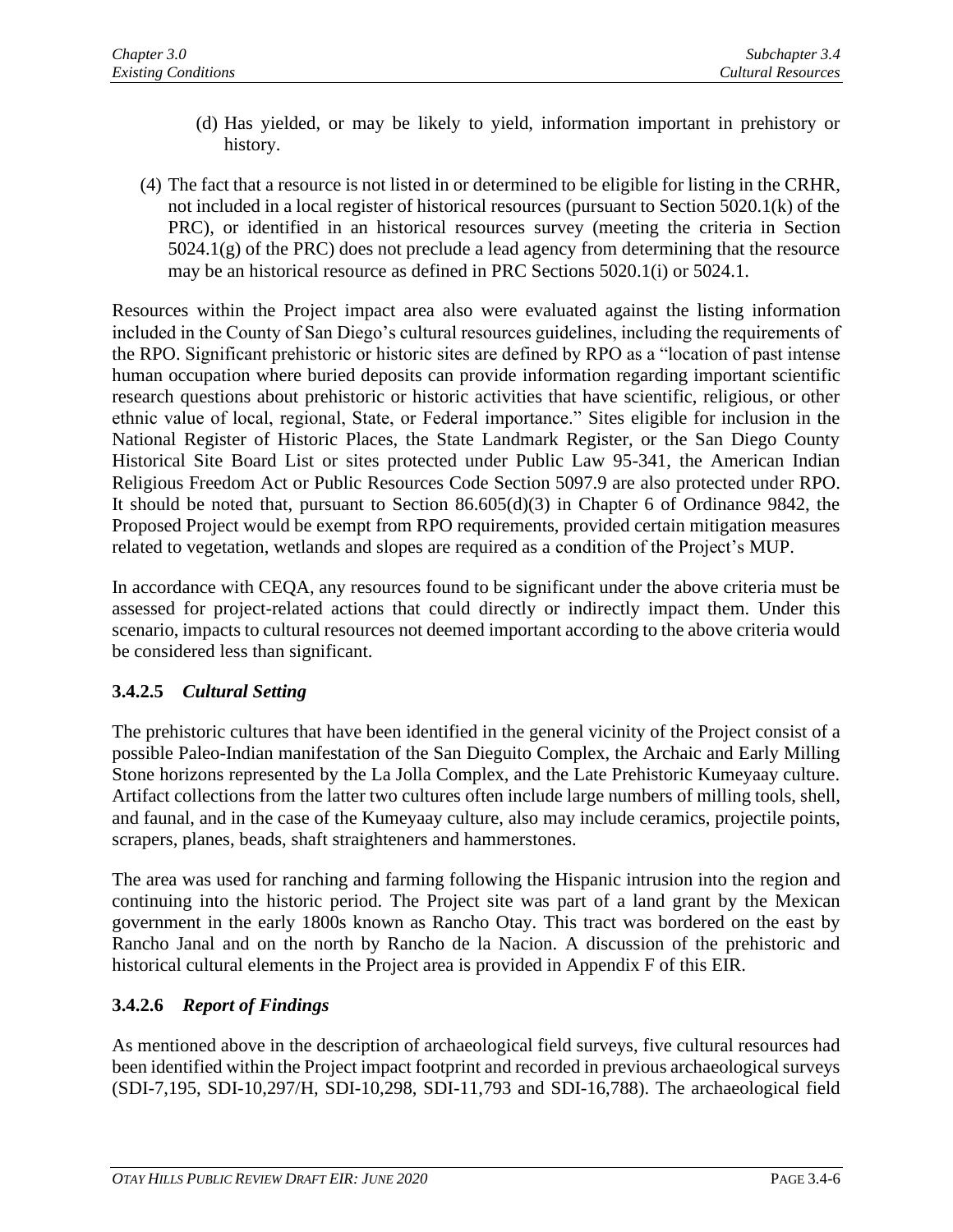- (d) Has yielded, or may be likely to yield, information important in prehistory or history.
- (4) The fact that a resource is not listed in or determined to be eligible for listing in the CRHR, not included in a local register of historical resources (pursuant to Section 5020.1(k) of the PRC), or identified in an historical resources survey (meeting the criteria in Section 5024.1(g) of the PRC) does not preclude a lead agency from determining that the resource may be an historical resource as defined in PRC Sections 5020.1(i) or 5024.1.

Resources within the Project impact area also were evaluated against the listing information included in the County of San Diego's cultural resources guidelines, including the requirements of the RPO. Significant prehistoric or historic sites are defined by RPO as a "location of past intense human occupation where buried deposits can provide information regarding important scientific research questions about prehistoric or historic activities that have scientific, religious, or other ethnic value of local, regional, State, or Federal importance." Sites eligible for inclusion in the National Register of Historic Places, the State Landmark Register, or the San Diego County Historical Site Board List or sites protected under Public Law 95-341, the American Indian Religious Freedom Act or Public Resources Code Section 5097.9 are also protected under RPO. It should be noted that, pursuant to Section 86.605(d)(3) in Chapter 6 of Ordinance 9842, the Proposed Project would be exempt from RPO requirements, provided certain mitigation measures related to vegetation, wetlands and slopes are required as a condition of the Project's MUP.

In accordance with CEQA, any resources found to be significant under the above criteria must be assessed for project-related actions that could directly or indirectly impact them. Under this scenario, impacts to cultural resources not deemed important according to the above criteria would be considered less than significant.

# **3.4.2.5** *Cultural Setting*

The prehistoric cultures that have been identified in the general vicinity of the Project consist of a possible Paleo-Indian manifestation of the San Dieguito Complex, the Archaic and Early Milling Stone horizons represented by the La Jolla Complex, and the Late Prehistoric Kumeyaay culture. Artifact collections from the latter two cultures often include large numbers of milling tools, shell, and faunal, and in the case of the Kumeyaay culture, also may include ceramics, projectile points, scrapers, planes, beads, shaft straighteners and hammerstones.

The area was used for ranching and farming following the Hispanic intrusion into the region and continuing into the historic period. The Project site was part of a land grant by the Mexican government in the early 1800s known as Rancho Otay. This tract was bordered on the east by Rancho Janal and on the north by Rancho de la Nacion. A discussion of the prehistoric and historical cultural elements in the Project area is provided in Appendix F of this EIR.

# **3.4.2.6** *Report of Findings*

As mentioned above in the description of archaeological field surveys, five cultural resources had been identified within the Project impact footprint and recorded in previous archaeological surveys (SDI-7,195, SDI-10,297/H, SDI-10,298, SDI-11,793 and SDI-16,788). The archaeological field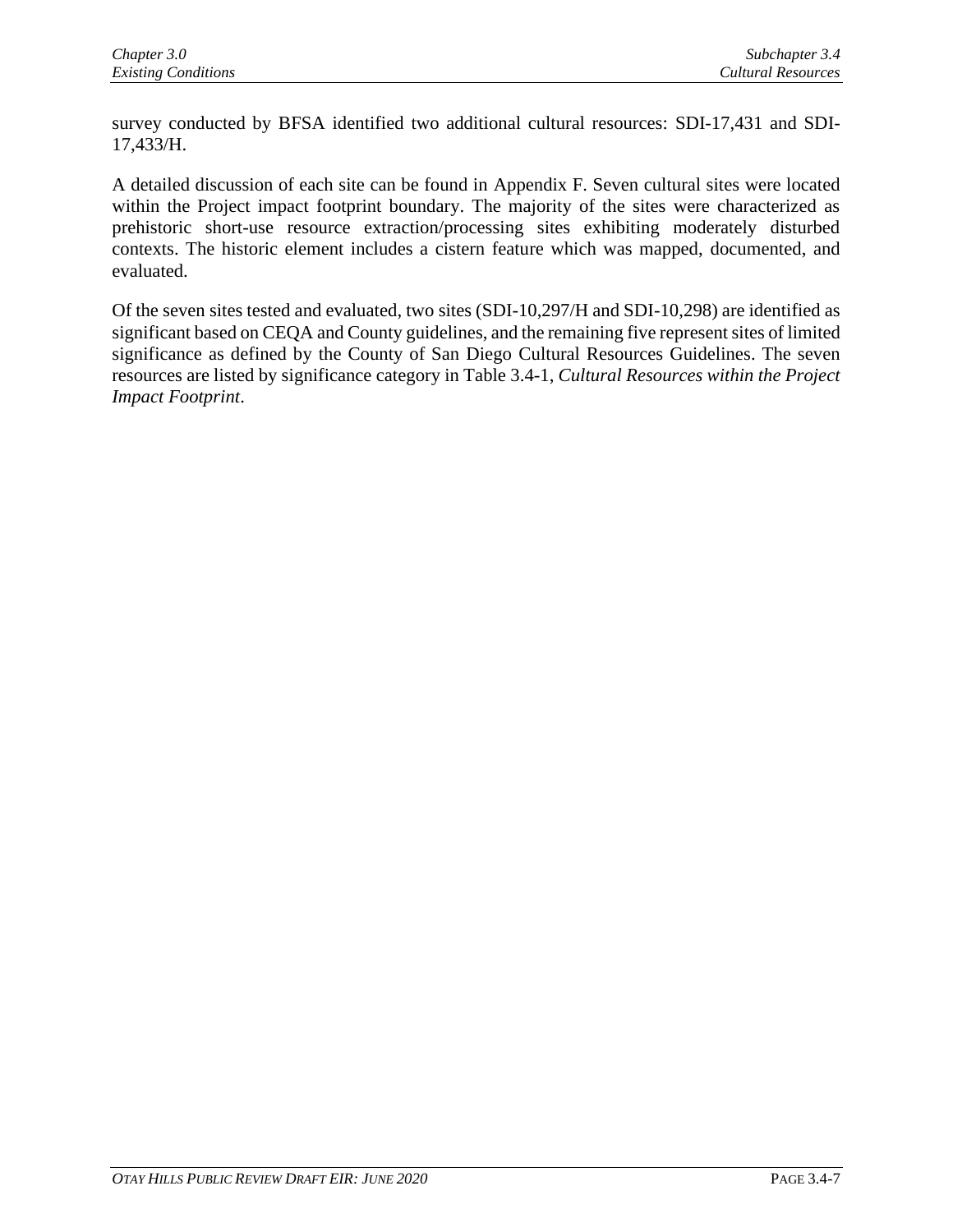survey conducted by BFSA identified two additional cultural resources: SDI-17,431 and SDI-17,433/H.

A detailed discussion of each site can be found in Appendix F. Seven cultural sites were located within the Project impact footprint boundary. The majority of the sites were characterized as prehistoric short-use resource extraction/processing sites exhibiting moderately disturbed contexts. The historic element includes a cistern feature which was mapped, documented, and evaluated.

Of the seven sites tested and evaluated, two sites (SDI-10,297/H and SDI-10,298) are identified as significant based on CEQA and County guidelines, and the remaining five represent sites of limited significance as defined by the County of San Diego Cultural Resources Guidelines. The seven resources are listed by significance category in Table 3.4-1, *Cultural Resources within the Project Impact Footprint*.